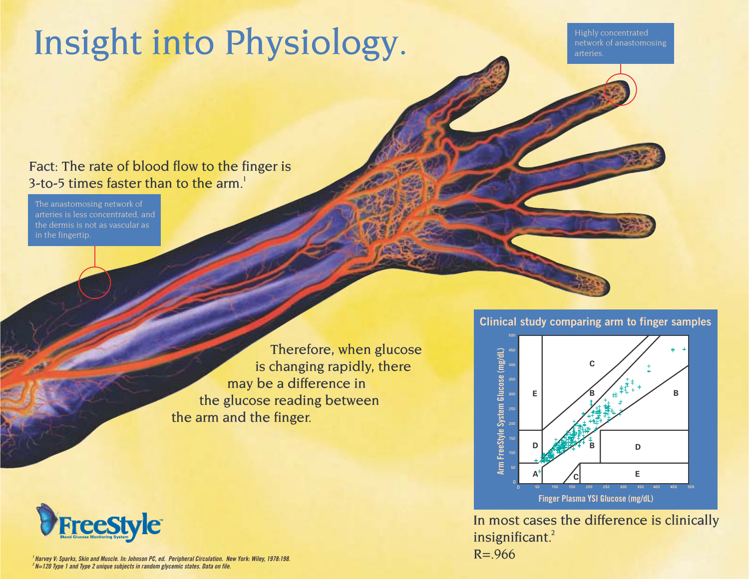## Insight into Physiology.

Highly concentrated network of anastomosing arteries.

Fact: The rate of blood flow to the finger is 3-to-5 times faster than to the  $arm<sup>1</sup>$ .

The anastomosing network of arteries is less concentrated, and the dermis is not as vascular as in the fingertip.

> Therefore, when glucose is changing rapidly, there may be a difference in the glucose reading between the arm and the finger.



**<sup>1</sup> Harvey V: Sparks, Skin and Muscle. In: Johnson PC, ed. Peripheral Circulation. New York: Wiley, 1978:198. <sup>2</sup> N=120 Type 1 and Type 2 unique subjects in random glycemic states. Data on file.**





In most cases the difference is clinically insignificant.<sup>2</sup>  $R = 966$